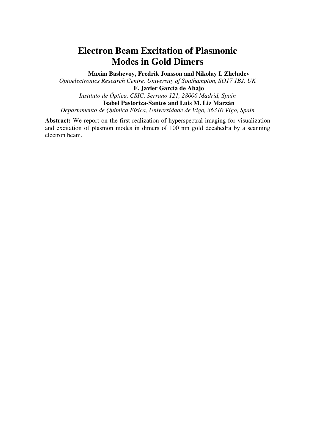## **Electron Beam Excitation of Plasmonic Modes in Gold Dimers**

**Maxim Bashevoy, Fredrik Jonsson and Nikolay I. Zheludev** 

*Optoelectronics Research Centre, University of Southampton, SO17 1BJ, UK*  **F. Javier García de Abajo**  *Instituto de Óptica, CSIC, Serrano 121, 28006 Madrid, Spain*  **Isabel Pastoriza-Santos and Luis M. Liz Marzán** 

*Departamento de Química Física, Universidade de Vigo, 36310 Vigo, Spain* 

**Abstract:** We report on the first realization of hyperspectral imaging for visualization and excitation of plasmon modes in dimers of 100 nm gold decahedra by a scanning electron beam.